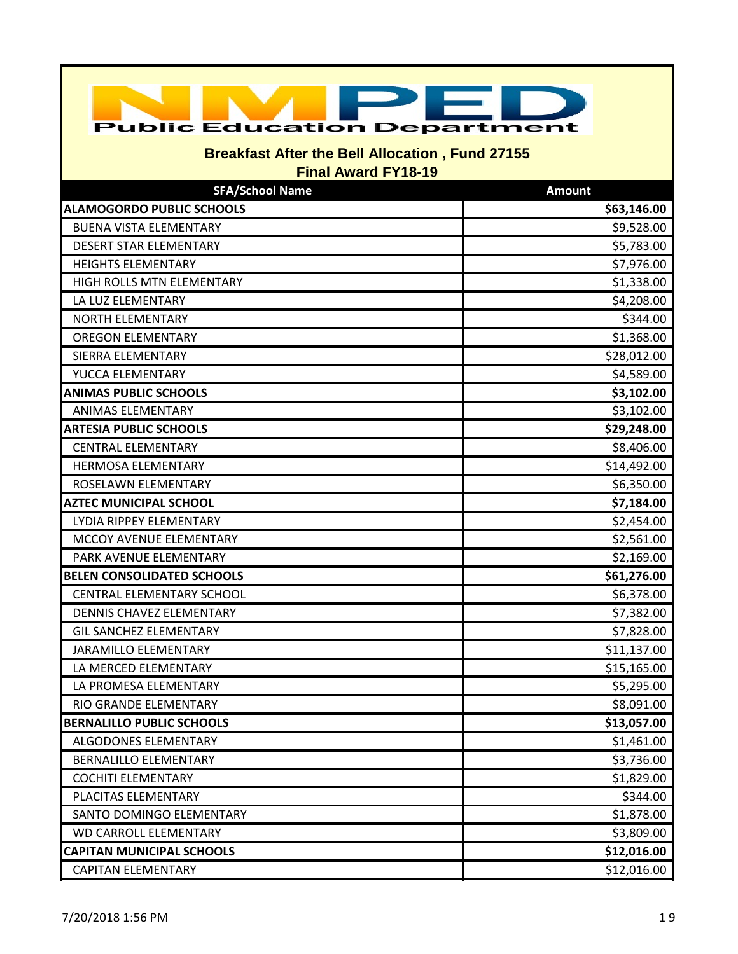| <b>Public Education Department</b>                                                   |               |
|--------------------------------------------------------------------------------------|---------------|
| <b>Breakfast After the Bell Allocation, Fund 27155</b><br><b>Final Award FY18-19</b> |               |
| <b>SFA/School Name</b>                                                               | <b>Amount</b> |
| <b>ALAMOGORDO PUBLIC SCHOOLS</b>                                                     | \$63,146.00   |
| <b>BUENA VISTA ELEMENTARY</b>                                                        | \$9,528.00    |
| DESERT STAR ELEMENTARY                                                               | \$5,783.00    |
| <b>HEIGHTS ELEMENTARY</b>                                                            | \$7,976.00    |
| HIGH ROLLS MTN ELEMENTARY                                                            | \$1,338.00    |
| LA LUZ ELEMENTARY                                                                    | \$4,208.00    |
| NORTH ELEMENTARY                                                                     | \$344.00      |
| <b>OREGON ELEMENTARY</b>                                                             | \$1,368.00    |
| <b>SIERRA ELEMENTARY</b>                                                             | \$28,012.00   |
| YUCCA ELEMENTARY                                                                     | \$4,589.00    |
| <b>ANIMAS PUBLIC SCHOOLS</b>                                                         | \$3,102.00    |
| <b>ANIMAS ELEMENTARY</b>                                                             | \$3,102.00    |
| <b>ARTESIA PUBLIC SCHOOLS</b>                                                        | \$29,248.00   |
| <b>CENTRAL ELEMENTARY</b>                                                            | \$8,406.00    |
| HERMOSA ELEMENTARY                                                                   | \$14,492.00   |
| ROSELAWN ELEMENTARY                                                                  | \$6,350.00    |
| <b>AZTEC MUNICIPAL SCHOOL</b>                                                        | \$7,184.00    |
| LYDIA RIPPEY ELEMENTARY                                                              | \$2,454.00    |
| MCCOY AVENUE ELEMENTARY                                                              | \$2,561.00    |
| PARK AVENUE ELEMENTARY                                                               | \$2,169.00    |
| <b>BELEN CONSOLIDATED SCHOOLS</b>                                                    | \$61,276.00   |
| <b>CENTRAL ELEMENTARY SCHOOL</b>                                                     | \$6,378.00    |
| DENNIS CHAVEZ ELEMENTARY                                                             | \$7,382.00    |
| <b>GIL SANCHEZ ELEMENTARY</b>                                                        | \$7,828.00    |
| JARAMILLO ELEMENTARY                                                                 | \$11,137.00   |
| LA MERCED ELEMENTARY                                                                 | \$15,165.00   |
| LA PROMESA ELEMENTARY                                                                | \$5,295.00    |
| RIO GRANDE ELEMENTARY                                                                | \$8,091.00    |
| <b>BERNALILLO PUBLIC SCHOOLS</b>                                                     | \$13,057.00   |
| ALGODONES ELEMENTARY                                                                 | \$1,461.00    |
| <b>BERNALILLO ELEMENTARY</b>                                                         | \$3,736.00    |
| <b>COCHITI ELEMENTARY</b>                                                            | \$1,829.00    |
| PLACITAS ELEMENTARY                                                                  | \$344.00      |
| SANTO DOMINGO ELEMENTARY                                                             | \$1,878.00    |
| <b>WD CARROLL ELEMENTARY</b>                                                         | \$3,809.00    |
| <b>CAPITAN MUNICIPAL SCHOOLS</b>                                                     | \$12,016.00   |
| <b>CAPITAN ELEMENTARY</b>                                                            | \$12,016.00   |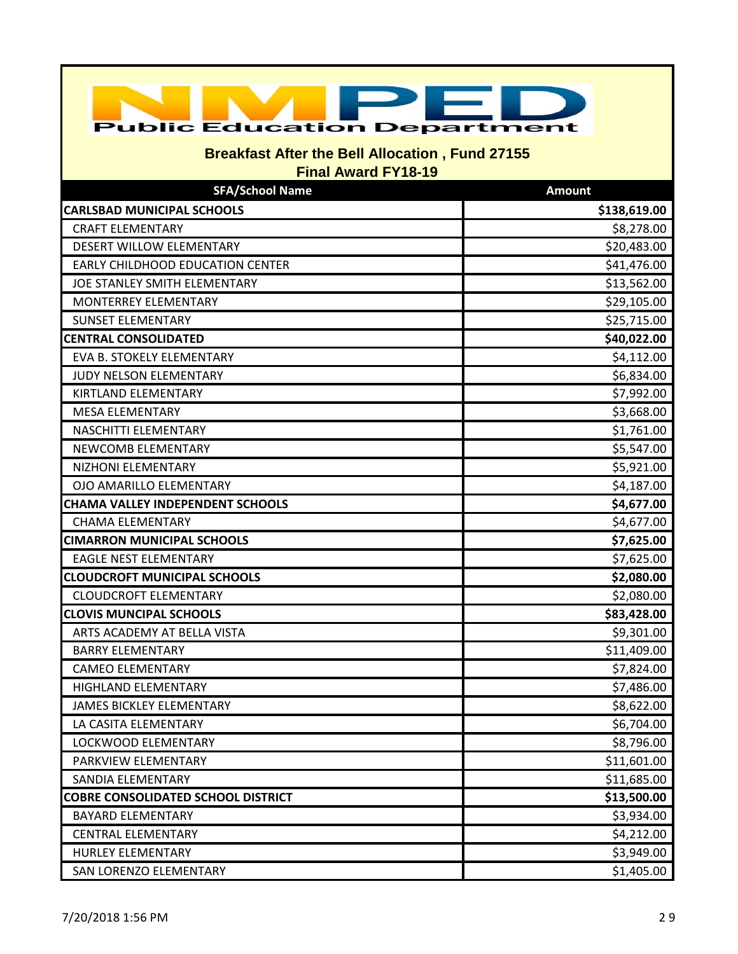| <b>Public Education Department</b>                                                   |               |  |
|--------------------------------------------------------------------------------------|---------------|--|
| <b>Breakfast After the Bell Allocation, Fund 27155</b><br><b>Final Award FY18-19</b> |               |  |
| <b>SFA/School Name</b>                                                               | <b>Amount</b> |  |
| <b>CARLSBAD MUNICIPAL SCHOOLS</b>                                                    | \$138,619.00  |  |
| <b>CRAFT ELEMENTARY</b>                                                              | \$8,278.00    |  |
| DESERT WILLOW ELEMENTARY                                                             | \$20,483.00   |  |
| EARLY CHILDHOOD EDUCATION CENTER                                                     | \$41,476.00   |  |
| JOE STANLEY SMITH ELEMENTARY                                                         | \$13,562.00   |  |
| MONTERREY ELEMENTARY                                                                 | \$29,105.00   |  |
| <b>SUNSET ELEMENTARY</b>                                                             | \$25,715.00   |  |
| <b>CENTRAL CONSOLIDATED</b>                                                          | \$40,022.00   |  |
| <b>EVA B. STOKELY ELEMENTARY</b>                                                     | \$4,112.00    |  |
| JUDY NELSON ELEMENTARY                                                               | \$6,834.00    |  |
| KIRTLAND ELEMENTARY                                                                  | \$7,992.00    |  |
| <b>MESA ELEMENTARY</b>                                                               | \$3,668.00    |  |
| NASCHITTI ELEMENTARY                                                                 | \$1,761.00    |  |
| NEWCOMB ELEMENTARY                                                                   | \$5,547.00    |  |
| NIZHONI ELEMENTARY                                                                   | \$5,921.00    |  |
| OJO AMARILLO ELEMENTARY                                                              | \$4,187.00    |  |
| <b>CHAMA VALLEY INDEPENDENT SCHOOLS</b>                                              | \$4,677.00    |  |
| <b>CHAMA ELEMENTARY</b>                                                              | \$4,677.00    |  |
| <b>CIMARRON MUNICIPAL SCHOOLS</b>                                                    | \$7,625.00    |  |
| <b>EAGLE NEST ELEMENTARY</b>                                                         | \$7,625.00    |  |
| <b>CLOUDCROFT MUNICIPAL SCHOOLS</b>                                                  | \$2,080.00    |  |
| <b>CLOUDCROFT ELEMENTARY</b>                                                         | \$2,080.00    |  |
| <b>CLOVIS MUNCIPAL SCHOOLS</b>                                                       | \$83,428.00   |  |
| ARTS ACADEMY AT BELLA VISTA                                                          | \$9,301.00    |  |
| <b>BARRY ELEMENTARY</b>                                                              | \$11,409.00   |  |
| <b>CAMEO ELEMENTARY</b>                                                              | \$7,824.00    |  |
| HIGHLAND ELEMENTARY                                                                  | \$7,486.00    |  |
| <b>JAMES BICKLEY ELEMENTARY</b>                                                      | \$8,622.00    |  |
| LA CASITA ELEMENTARY                                                                 | \$6,704.00    |  |
| LOCKWOOD ELEMENTARY                                                                  | \$8,796.00    |  |
| PARKVIEW ELEMENTARY                                                                  | \$11,601.00   |  |
| SANDIA ELEMENTARY                                                                    | \$11,685.00   |  |
| <b>COBRE CONSOLIDATED SCHOOL DISTRICT</b>                                            | \$13,500.00   |  |
| <b>BAYARD ELEMENTARY</b>                                                             | \$3,934.00    |  |
| <b>CENTRAL ELEMENTARY</b>                                                            | \$4,212.00    |  |
| HURLEY ELEMENTARY                                                                    | \$3,949.00    |  |
| SAN LORENZO ELEMENTARY                                                               | \$1,405.00    |  |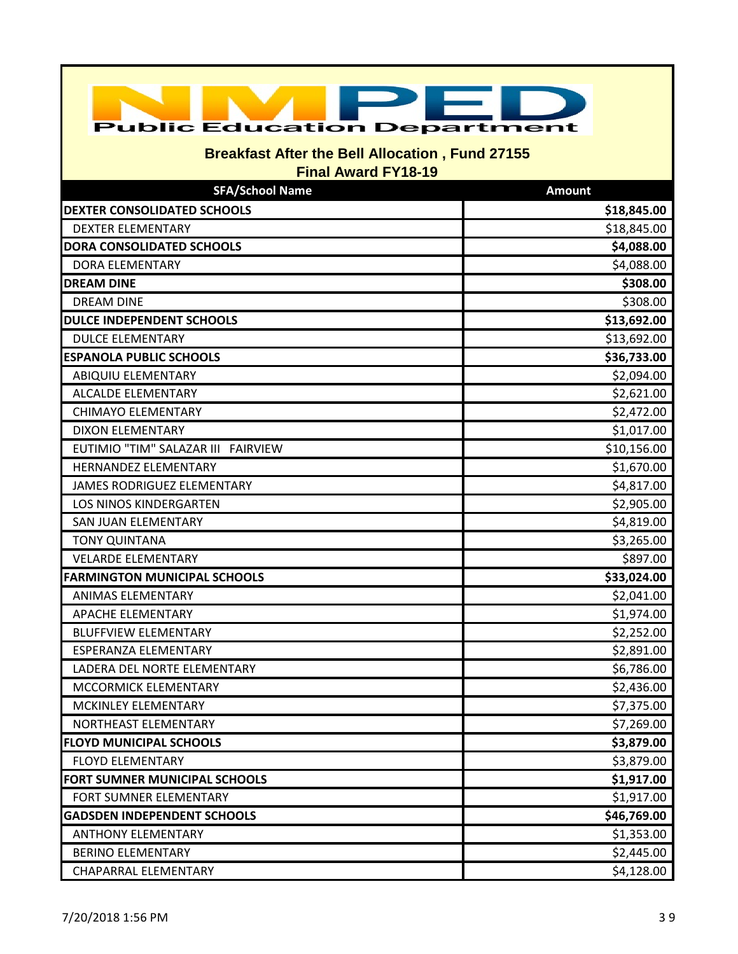| <b>Public Education Department</b>                                                   |               |  |
|--------------------------------------------------------------------------------------|---------------|--|
| <b>Breakfast After the Bell Allocation, Fund 27155</b><br><b>Final Award FY18-19</b> |               |  |
| <b>SFA/School Name</b>                                                               | <b>Amount</b> |  |
| <b>DEXTER CONSOLIDATED SCHOOLS</b>                                                   | \$18,845.00   |  |
| <b>DEXTER ELEMENTARY</b>                                                             | \$18,845.00   |  |
| <b>DORA CONSOLIDATED SCHOOLS</b>                                                     | \$4,088.00    |  |
| <b>DORA ELEMENTARY</b>                                                               | \$4,088.00    |  |
| <b>DREAM DINE</b>                                                                    | \$308.00      |  |
| <b>DREAM DINE</b>                                                                    | \$308.00      |  |
| <b>DULCE INDEPENDENT SCHOOLS</b>                                                     | \$13,692.00   |  |
| <b>DULCE ELEMENTARY</b>                                                              | \$13,692.00   |  |
| <b>ESPANOLA PUBLIC SCHOOLS</b>                                                       | \$36,733.00   |  |
| ABIQUIU ELEMENTARY                                                                   | \$2,094.00    |  |
| <b>ALCALDE ELEMENTARY</b>                                                            | \$2,621.00    |  |
| <b>CHIMAYO ELEMENTARY</b>                                                            | \$2,472.00    |  |
| <b>DIXON ELEMENTARY</b>                                                              | \$1,017.00    |  |
| EUTIMIO "TIM" SALAZAR III FAIRVIEW                                                   | \$10,156.00   |  |
| HERNANDEZ ELEMENTARY                                                                 | \$1,670.00    |  |
| JAMES RODRIGUEZ ELEMENTARY                                                           | \$4,817.00    |  |
| <b>LOS NINOS KINDERGARTEN</b>                                                        | \$2,905.00    |  |
| SAN JUAN ELEMENTARY                                                                  | \$4,819.00    |  |
| <b>TONY QUINTANA</b>                                                                 | \$3,265.00    |  |
| <b>VELARDE ELEMENTARY</b>                                                            | \$897.00      |  |
| <b>FARMINGTON MUNICIPAL SCHOOLS</b>                                                  | \$33,024.00   |  |
| <b>ANIMAS ELEMENTARY</b>                                                             | \$2,041.00    |  |
| <b>APACHE ELEMENTARY</b>                                                             | \$1,974.00    |  |
| <b>BLUFFVIEW ELEMENTARY</b>                                                          | \$2,252.00    |  |
| ESPERANZA ELEMENTARY                                                                 | \$2,891.00    |  |
| LADERA DEL NORTE ELEMENTARY                                                          | \$6,786.00    |  |
| MCCORMICK ELEMENTARY                                                                 | \$2,436.00    |  |
| MCKINLEY ELEMENTARY                                                                  | \$7,375.00    |  |
| NORTHEAST ELEMENTARY                                                                 | \$7,269.00    |  |
| <b>FLOYD MUNICIPAL SCHOOLS</b>                                                       | \$3,879.00    |  |
| <b>FLOYD ELEMENTARY</b>                                                              | \$3,879.00    |  |
| FORT SUMNER MUNICIPAL SCHOOLS                                                        | \$1,917.00    |  |
| FORT SUMNER ELEMENTARY                                                               | \$1,917.00    |  |
| <b>GADSDEN INDEPENDENT SCHOOLS</b>                                                   | \$46,769.00   |  |
| <b>ANTHONY ELEMENTARY</b>                                                            | \$1,353.00    |  |
| <b>BERINO ELEMENTARY</b>                                                             | \$2,445.00    |  |
| CHAPARRAL ELEMENTARY                                                                 | \$4,128.00    |  |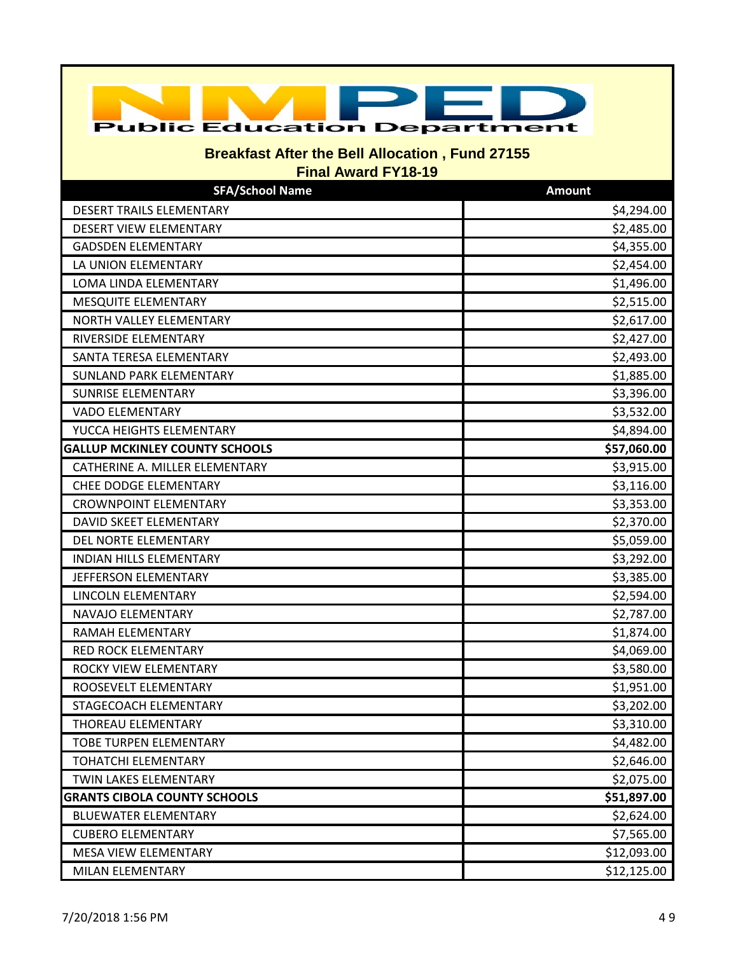| <b>Public Education Department</b>                     |                          |  |
|--------------------------------------------------------|--------------------------|--|
| <b>Breakfast After the Bell Allocation, Fund 27155</b> |                          |  |
| <b>Final Award FY18-19</b><br><b>SFA/School Name</b>   | <b>Amount</b>            |  |
| <b>DESERT TRAILS ELEMENTARY</b>                        |                          |  |
| DESERT VIEW ELEMENTARY                                 | \$4,294.00<br>\$2,485.00 |  |
| <b>GADSDEN ELEMENTARY</b>                              | \$4,355.00               |  |
| LA UNION ELEMENTARY                                    | \$2,454.00               |  |
| LOMA LINDA ELEMENTARY                                  | \$1,496.00               |  |
| MESQUITE ELEMENTARY                                    | \$2,515.00               |  |
| NORTH VALLEY ELEMENTARY                                | \$2,617.00               |  |
| <b>RIVERSIDE ELEMENTARY</b>                            | \$2,427.00               |  |
| SANTA TERESA ELEMENTARY                                | \$2,493.00               |  |
| <b>SUNLAND PARK ELEMENTARY</b>                         | \$1,885.00               |  |
| <b>SUNRISE ELEMENTARY</b>                              | \$3,396.00               |  |
| <b>VADO ELEMENTARY</b>                                 | \$3,532.00               |  |
| YUCCA HEIGHTS ELEMENTARY                               | \$4,894.00               |  |
| <b>GALLUP MCKINLEY COUNTY SCHOOLS</b>                  | \$57,060.00              |  |
| CATHERINE A. MILLER ELEMENTARY                         | \$3,915.00               |  |
| CHEE DODGE ELEMENTARY                                  | \$3,116.00               |  |
| <b>CROWNPOINT ELEMENTARY</b>                           | \$3,353.00               |  |
| DAVID SKEET ELEMENTARY                                 | \$2,370.00               |  |
| DEL NORTE ELEMENTARY                                   | \$5,059.00               |  |
| <b>INDIAN HILLS ELEMENTARY</b>                         | \$3,292.00               |  |
| JEFFERSON ELEMENTARY                                   | \$3,385.00               |  |
| LINCOLN ELEMENTARY                                     | \$2,594.00               |  |
| NAVAJO ELEMENTARY                                      | \$2,787.00               |  |
| RAMAH ELEMENTARY                                       | \$1,874.00               |  |
| RED ROCK ELEMENTARY                                    | \$4,069.00               |  |
| ROCKY VIEW ELEMENTARY                                  | \$3,580.00               |  |
| ROOSEVELT ELEMENTARY                                   | \$1,951.00               |  |
| STAGECOACH ELEMENTARY                                  | \$3,202.00               |  |
| THOREAU ELEMENTARY                                     | \$3,310.00               |  |
| <b>TOBE TURPEN ELEMENTARY</b>                          | \$4,482.00               |  |
| <b>TOHATCHI ELEMENTARY</b>                             | \$2,646.00               |  |
| TWIN LAKES ELEMENTARY                                  | \$2,075.00               |  |
| <b>GRANTS CIBOLA COUNTY SCHOOLS</b>                    | \$51,897.00              |  |
| <b>BLUEWATER ELEMENTARY</b>                            | \$2,624.00               |  |
| <b>CUBERO ELEMENTARY</b>                               | \$7,565.00               |  |
| MESA VIEW ELEMENTARY                                   | \$12,093.00              |  |
| MILAN ELEMENTARY                                       | \$12,125.00              |  |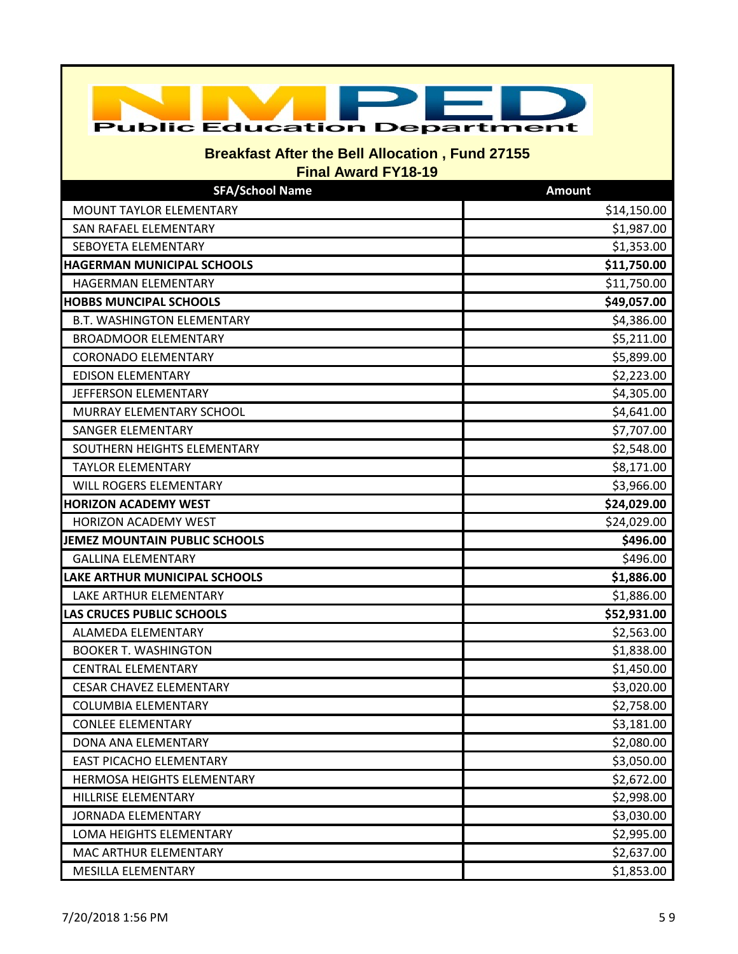| <b>Public Education Department</b>                                                   |               |  |
|--------------------------------------------------------------------------------------|---------------|--|
| <b>Breakfast After the Bell Allocation, Fund 27155</b><br><b>Final Award FY18-19</b> |               |  |
| <b>SFA/School Name</b>                                                               | <b>Amount</b> |  |
| MOUNT TAYLOR ELEMENTARY                                                              | \$14,150.00   |  |
| SAN RAFAEL ELEMENTARY                                                                | \$1,987.00    |  |
| SEBOYETA ELEMENTARY                                                                  | \$1,353.00    |  |
| <b>HAGERMAN MUNICIPAL SCHOOLS</b>                                                    | \$11,750.00   |  |
| HAGERMAN ELEMENTARY                                                                  | \$11,750.00   |  |
| <b>HOBBS MUNCIPAL SCHOOLS</b>                                                        | \$49,057.00   |  |
| <b>B.T. WASHINGTON ELEMENTARY</b>                                                    | \$4,386.00    |  |
| <b>BROADMOOR ELEMENTARY</b>                                                          | \$5,211.00    |  |
| <b>CORONADO ELEMENTARY</b>                                                           | \$5,899.00    |  |
| <b>EDISON ELEMENTARY</b>                                                             | \$2,223.00    |  |
| JEFFERSON ELEMENTARY                                                                 | \$4,305.00    |  |
| MURRAY ELEMENTARY SCHOOL                                                             | \$4,641.00    |  |
| SANGER ELEMENTARY                                                                    | \$7,707.00    |  |
| SOUTHERN HEIGHTS ELEMENTARY                                                          | \$2,548.00    |  |
| <b>TAYLOR ELEMENTARY</b>                                                             | \$8,171.00    |  |
| <b>WILL ROGERS ELEMENTARY</b>                                                        | \$3,966.00    |  |
| <b>HORIZON ACADEMY WEST</b>                                                          | \$24,029.00   |  |
| <b>HORIZON ACADEMY WEST</b>                                                          | \$24,029.00   |  |
| JEMEZ MOUNTAIN PUBLIC SCHOOLS                                                        | \$496.00      |  |
| <b>GALLINA ELEMENTARY</b>                                                            | \$496.00      |  |
| LAKE ARTHUR MUNICIPAL SCHOOLS                                                        | \$1,886.00    |  |
| LAKE ARTHUR ELEMENTARY                                                               | \$1,886.00    |  |
| <b>LAS CRUCES PUBLIC SCHOOLS</b>                                                     | \$52,931.00   |  |
| ALAMEDA ELEMENTARY                                                                   | \$2,563.00    |  |
| <b>BOOKER T. WASHINGTON</b>                                                          | \$1,838.00    |  |
| <b>CENTRAL ELEMENTARY</b>                                                            | \$1,450.00    |  |
| <b>CESAR CHAVEZ ELEMENTARY</b>                                                       | \$3,020.00    |  |
| <b>COLUMBIA ELEMENTARY</b>                                                           | \$2,758.00    |  |
| <b>CONLEE ELEMENTARY</b>                                                             | \$3,181.00    |  |
| DONA ANA ELEMENTARY                                                                  | \$2,080.00    |  |
| <b>EAST PICACHO ELEMENTARY</b>                                                       | \$3,050.00    |  |
| HERMOSA HEIGHTS ELEMENTARY                                                           | \$2,672.00    |  |
| HILLRISE ELEMENTARY                                                                  | \$2,998.00    |  |
| <b>JORNADA ELEMENTARY</b>                                                            | \$3,030.00    |  |
| LOMA HEIGHTS ELEMENTARY                                                              | \$2,995.00    |  |
| MAC ARTHUR ELEMENTARY                                                                | \$2,637.00    |  |
| MESILLA ELEMENTARY                                                                   | \$1,853.00    |  |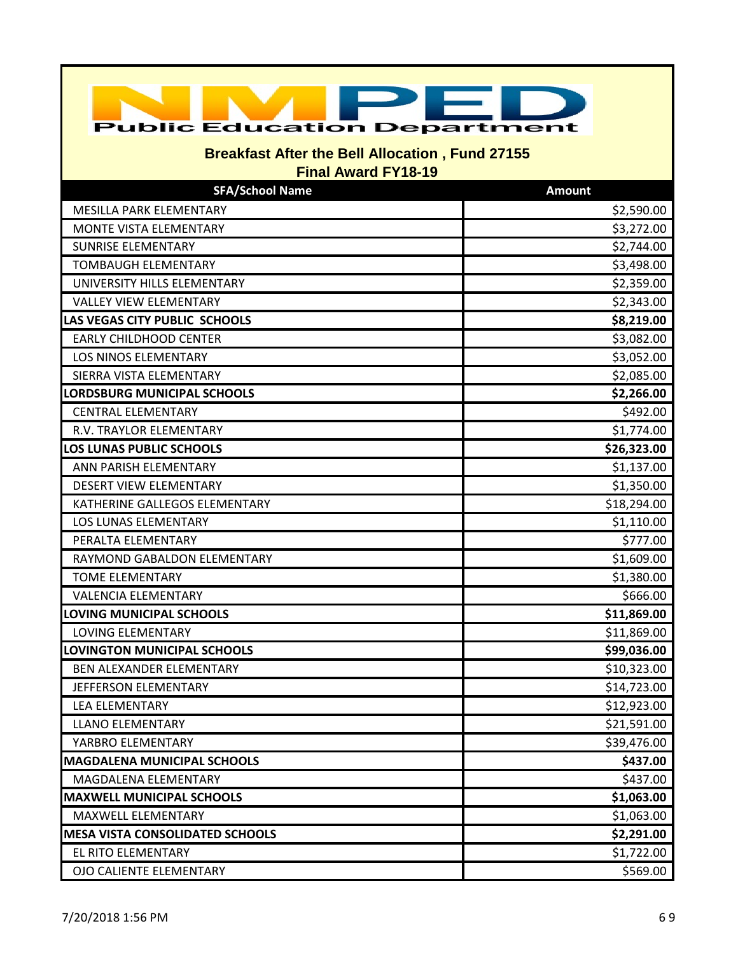| <b>Public Education Department</b>                                                   |               |  |
|--------------------------------------------------------------------------------------|---------------|--|
| <b>Breakfast After the Bell Allocation, Fund 27155</b><br><b>Final Award FY18-19</b> |               |  |
| <b>SFA/School Name</b>                                                               | <b>Amount</b> |  |
| MESILLA PARK ELEMENTARY                                                              | \$2,590.00    |  |
| MONTE VISTA ELEMENTARY                                                               | \$3,272.00    |  |
| <b>SUNRISE ELEMENTARY</b>                                                            | \$2,744.00    |  |
| TOMBAUGH ELEMENTARY                                                                  | \$3,498.00    |  |
| UNIVERSITY HILLS ELEMENTARY                                                          | \$2,359.00    |  |
| <b>VALLEY VIEW ELEMENTARY</b>                                                        | \$2,343.00    |  |
| LAS VEGAS CITY PUBLIC SCHOOLS                                                        | \$8,219.00    |  |
| <b>EARLY CHILDHOOD CENTER</b>                                                        | \$3,082.00    |  |
| <b>LOS NINOS ELEMENTARY</b>                                                          | \$3,052.00    |  |
| SIERRA VISTA ELEMENTARY                                                              | \$2,085.00    |  |
| LORDSBURG MUNICIPAL SCHOOLS                                                          | \$2,266.00    |  |
| <b>CENTRAL ELEMENTARY</b>                                                            | \$492.00      |  |
| R.V. TRAYLOR ELEMENTARY                                                              | \$1,774.00    |  |
| <b>LOS LUNAS PUBLIC SCHOOLS</b>                                                      | \$26,323.00   |  |
| ANN PARISH ELEMENTARY                                                                | \$1,137.00    |  |
| DESERT VIEW ELEMENTARY                                                               | \$1,350.00    |  |
| KATHERINE GALLEGOS ELEMENTARY                                                        | \$18,294.00   |  |
| LOS LUNAS ELEMENTARY                                                                 | \$1,110.00    |  |
| PERALTA ELEMENTARY                                                                   | \$777.00      |  |
| RAYMOND GABALDON ELEMENTARY                                                          | \$1,609.00    |  |
| <b>TOME ELEMENTARY</b>                                                               | \$1,380.00    |  |
| <b>VALENCIA ELEMENTARY</b>                                                           | \$666.00      |  |
| LOVING MUNICIPAL SCHOOLS                                                             | \$11,869.00   |  |
| LOVING ELEMENTARY                                                                    | \$11,869.00   |  |
| <b>LOVINGTON MUNICIPAL SCHOOLS</b>                                                   | \$99,036.00   |  |
| BEN ALEXANDER ELEMENTARY                                                             | \$10,323.00   |  |
| JEFFERSON ELEMENTARY                                                                 | \$14,723.00   |  |
| <b>LEA ELEMENTARY</b>                                                                | \$12,923.00   |  |
| <b>LLANO ELEMENTARY</b>                                                              | \$21,591.00   |  |
| YARBRO ELEMENTARY                                                                    | \$39,476.00   |  |
| <b>MAGDALENA MUNICIPAL SCHOOLS</b>                                                   | \$437.00      |  |
| MAGDALENA ELEMENTARY                                                                 | \$437.00      |  |
| <b>MAXWELL MUNICIPAL SCHOOLS</b>                                                     | \$1,063.00    |  |
| MAXWELL ELEMENTARY                                                                   | \$1,063.00    |  |
| <b>MESA VISTA CONSOLIDATED SCHOOLS</b>                                               | \$2,291.00    |  |
| EL RITO ELEMENTARY                                                                   | \$1,722.00    |  |
| <b>OJO CALIENTE ELEMENTARY</b>                                                       | \$569.00      |  |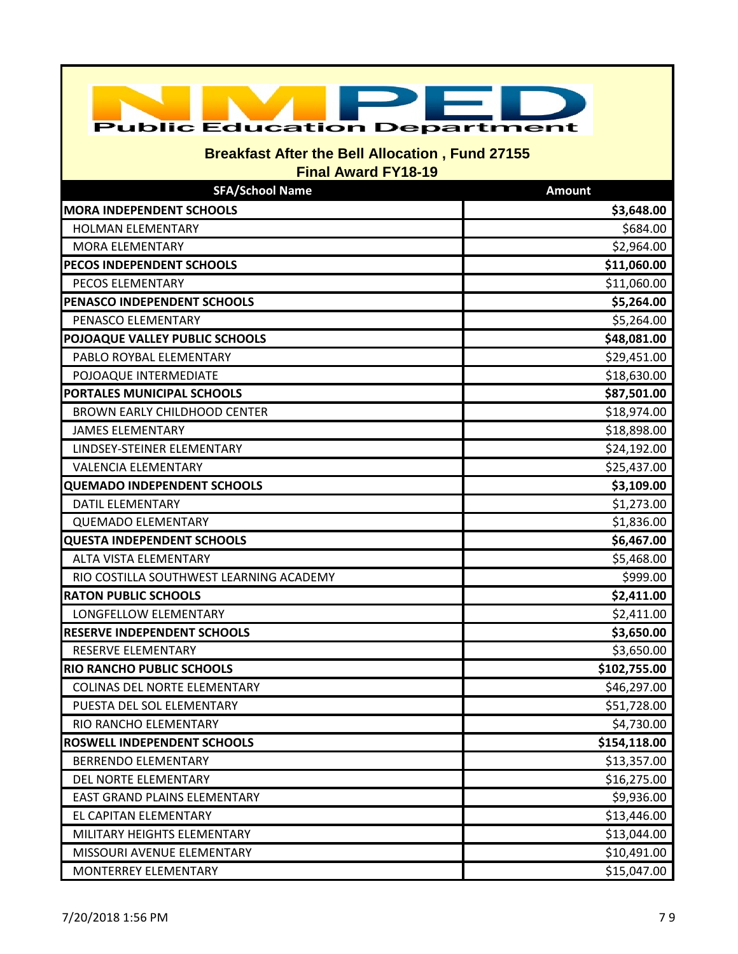| <b>Public Education Department</b>                     |                            |  |
|--------------------------------------------------------|----------------------------|--|
| <b>Breakfast After the Bell Allocation, Fund 27155</b> |                            |  |
| <b>Final Award FY18-19</b>                             |                            |  |
| <b>SFA/School Name</b>                                 | <b>Amount</b>              |  |
| <b>MORA INDEPENDENT SCHOOLS</b>                        | \$3,648.00                 |  |
| <b>HOLMAN ELEMENTARY</b>                               | \$684.00                   |  |
| <b>MORA ELEMENTARY</b>                                 | \$2,964.00                 |  |
| PECOS INDEPENDENT SCHOOLS<br>PECOS ELEMENTARY          | \$11,060.00<br>\$11,060.00 |  |
| PENASCO INDEPENDENT SCHOOLS                            | \$5,264.00                 |  |
| PENASCO ELEMENTARY                                     | \$5,264.00                 |  |
| POJOAQUE VALLEY PUBLIC SCHOOLS                         | \$48,081.00                |  |
| PABLO ROYBAL ELEMENTARY                                | \$29,451.00                |  |
| POJOAQUE INTERMEDIATE                                  | \$18,630.00                |  |
| PORTALES MUNICIPAL SCHOOLS                             | \$87,501.00                |  |
| <b>BROWN EARLY CHILDHOOD CENTER</b>                    | \$18,974.00                |  |
| <b>JAMES ELEMENTARY</b>                                | \$18,898.00                |  |
| LINDSEY-STEINER ELEMENTARY                             | \$24,192.00                |  |
| <b>VALENCIA ELEMENTARY</b>                             | \$25,437.00                |  |
| <b>QUEMADO INDEPENDENT SCHOOLS</b>                     | \$3,109.00                 |  |
| <b>DATIL ELEMENTARY</b>                                | \$1,273.00                 |  |
| <b>QUEMADO ELEMENTARY</b>                              | \$1,836.00                 |  |
| <b>QUESTA INDEPENDENT SCHOOLS</b>                      | \$6,467.00                 |  |
| <b>ALTA VISTA ELEMENTARY</b>                           | \$5,468.00                 |  |
| RIO COSTILLA SOUTHWEST LEARNING ACADEMY                | \$999.00                   |  |
| <b>RATON PUBLIC SCHOOLS</b>                            | \$2,411.00                 |  |
| LONGFELLOW ELEMENTARY                                  | \$2,411.00                 |  |
| <b>RESERVE INDEPENDENT SCHOOLS</b>                     | \$3,650.00                 |  |
| RESERVE ELEMENTARY                                     | \$3,650.00                 |  |
| <b>RIO RANCHO PUBLIC SCHOOLS</b>                       | \$102,755.00               |  |
| COLINAS DEL NORTE ELEMENTARY                           | \$46,297.00                |  |
| PUESTA DEL SOL ELEMENTARY                              | \$51,728.00                |  |
| RIO RANCHO ELEMENTARY                                  | \$4,730.00                 |  |
| <b>ROSWELL INDEPENDENT SCHOOLS</b>                     | \$154,118.00               |  |
| <b>BERRENDO ELEMENTARY</b>                             | \$13,357.00                |  |
| DEL NORTE ELEMENTARY                                   | \$16,275.00                |  |
| EAST GRAND PLAINS ELEMENTARY                           | \$9,936.00                 |  |
| EL CAPITAN ELEMENTARY                                  | \$13,446.00                |  |
| MILITARY HEIGHTS ELEMENTARY                            | \$13,044.00                |  |
| MISSOURI AVENUE ELEMENTARY                             | \$10,491.00                |  |
| MONTERREY ELEMENTARY                                   | \$15,047.00                |  |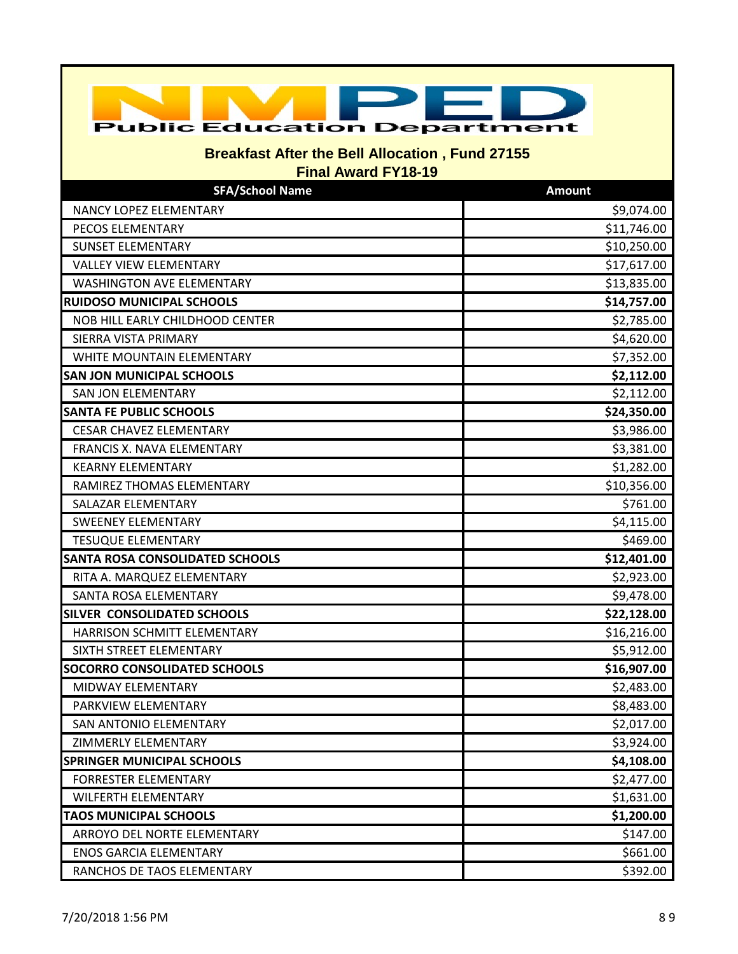| <b>Public Education Department</b>                     |               |  |
|--------------------------------------------------------|---------------|--|
| <b>Breakfast After the Bell Allocation, Fund 27155</b> |               |  |
| <b>Final Award FY18-19</b>                             |               |  |
| <b>SFA/School Name</b>                                 | <b>Amount</b> |  |
| NANCY LOPEZ ELEMENTARY                                 | \$9,074.00    |  |
| PECOS ELEMENTARY                                       | \$11,746.00   |  |
| <b>SUNSET ELEMENTARY</b>                               | \$10,250.00   |  |
| <b>VALLEY VIEW ELEMENTARY</b>                          | \$17,617.00   |  |
| <b>WASHINGTON AVE ELEMENTARY</b>                       | \$13,835.00   |  |
| <b>RUIDOSO MUNICIPAL SCHOOLS</b>                       | \$14,757.00   |  |
| NOB HILL EARLY CHILDHOOD CENTER                        | \$2,785.00    |  |
| SIERRA VISTA PRIMARY                                   | \$4,620.00    |  |
| WHITE MOUNTAIN ELEMENTARY                              | \$7,352.00    |  |
| <b>SAN JON MUNICIPAL SCHOOLS</b>                       | \$2,112.00    |  |
| SAN JON ELEMENTARY                                     | \$2,112.00    |  |
| <b>SANTA FE PUBLIC SCHOOLS</b>                         | \$24,350.00   |  |
| <b>CESAR CHAVEZ ELEMENTARY</b>                         | \$3,986.00    |  |
| FRANCIS X. NAVA ELEMENTARY                             | \$3,381.00    |  |
| <b>KEARNY ELEMENTARY</b>                               | \$1,282.00    |  |
| RAMIREZ THOMAS ELEMENTARY                              | \$10,356.00   |  |
| SALAZAR ELEMENTARY                                     | \$761.00      |  |
| <b>SWEENEY ELEMENTARY</b>                              | \$4,115.00    |  |
| <b>TESUQUE ELEMENTARY</b>                              | \$469.00      |  |
| <b>SANTA ROSA CONSOLIDATED SCHOOLS</b>                 | \$12,401.00   |  |
| RITA A. MARQUEZ ELEMENTARY                             | \$2,923.00    |  |
| SANTA ROSA ELEMENTARY                                  | \$9,478.00    |  |
| <b>SILVER CONSOLIDATED SCHOOLS</b>                     | \$22,128.00   |  |
| HARRISON SCHMITT ELEMENTARY                            | \$16,216.00   |  |
| SIXTH STREET ELEMENTARY                                | \$5,912.00    |  |
| <b>SOCORRO CONSOLIDATED SCHOOLS</b>                    | \$16,907.00   |  |
| MIDWAY ELEMENTARY                                      | \$2,483.00    |  |
| PARKVIEW ELEMENTARY                                    | \$8,483.00    |  |
| SAN ANTONIO ELEMENTARY                                 | \$2,017.00    |  |
| ZIMMERLY ELEMENTARY                                    | \$3,924.00    |  |
| <b>SPRINGER MUNICIPAL SCHOOLS</b>                      | \$4,108.00    |  |
| <b>FORRESTER ELEMENTARY</b>                            | \$2,477.00    |  |
| <b>WILFERTH ELEMENTARY</b>                             | \$1,631.00    |  |
| <b>TAOS MUNICIPAL SCHOOLS</b>                          | \$1,200.00    |  |
| ARROYO DEL NORTE ELEMENTARY                            | \$147.00      |  |
| <b>ENOS GARCIA ELEMENTARY</b>                          | \$661.00      |  |
| RANCHOS DE TAOS ELEMENTARY                             | \$392.00      |  |